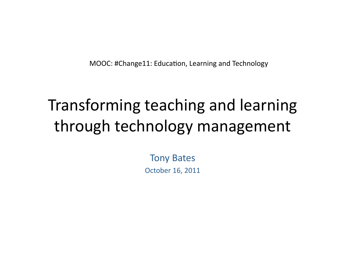MOOC: #Change11: Education, Learning and Technology

## Transforming teaching and learning through technology management

Tony Bates October 16, 2011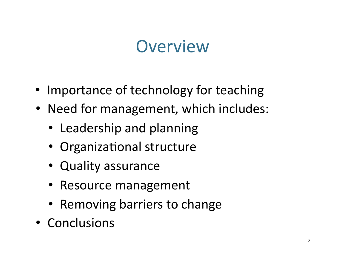### **Overview**

- Importance of technology for teaching
- Need for management, which includes:
	- Leadership and planning
	- Organizational structure
	- Quality assurance
	- Resource management
	- Removing barriers to change
- Conclusions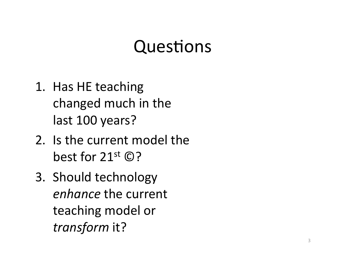## Questions

- 1. Has HE teaching changed much in the last 100 years?
- 2. Is the current model the best for  $21^{st}$   $\odot$ ?
- 3. Should technology *enhance* the current teaching model or *transform* it?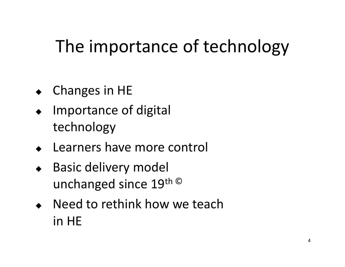# The importance of technology

- ◆ Changes in HE
- Importance of digital technology
- Learners have more control
- Basic delivery model unchanged since 19th ©
- Need to rethink how we teach in HE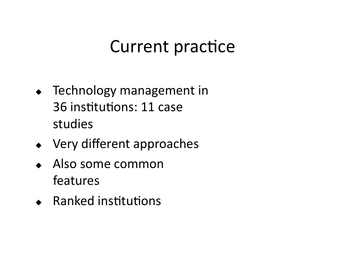## Current practice

- Technology management in 36 institutions: 11 case studies
- Very different approaches
- Also some common features
- $\leftarrow$  Ranked institutions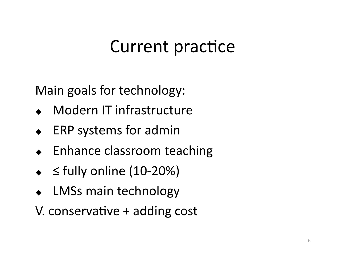# Current practice

Main goals for technology:

- Modern IT infrastructure
- ERP systems for admin
- Enhance classroom teaching
- $\triangleleft$  ≤ fully online (10-20%)
- LMSs main technology
- V. conservative  $+$  adding cost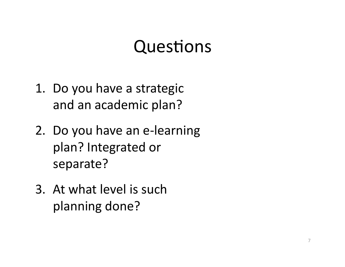### Questions

- 1. Do you have a strategic and an academic plan?
- 2. Do you have an e‐learning plan? Integrated or separate?
- 3. At what level is such planning done?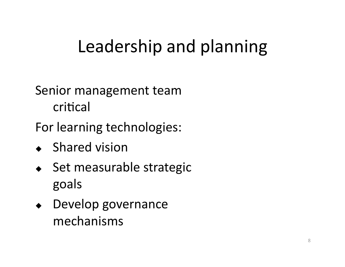# Leadership and planning

#### Senior management team critical

For learning technologies:

- ◆ Shared vision
- ◆ Set measurable strategic goals
- Develop governance mechanisms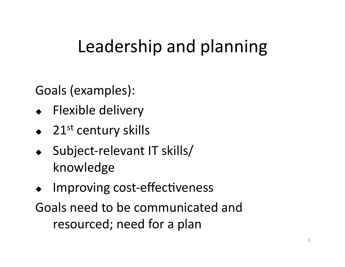# Leadership and planning

Goals (examples):

- ◆ Flexible delivery
- $\triangleleft$  21<sup>st</sup> century skills
- ◆ Subject-relevant IT skills/ knowledge
- Improving cost-effectiveness
- Goals need to be communicated and resourced; need for a plan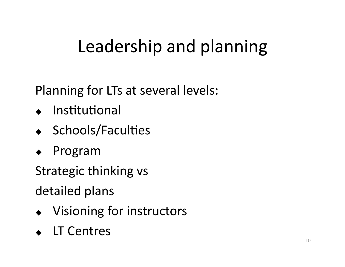# Leadership and planning

Planning for LTs at several levels:

- $\bullet$  Institutional
- $\bullet$  Schools/Faculties
- Program

Strategic thinking vs

detailed plans

- Visioning for instructors
- **LT Centres**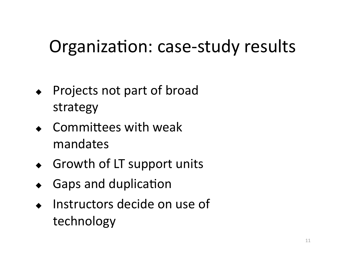# Organization: case-study results

- Projects not part of broad strategy
- $\bullet$  Committees with weak mandates
- ◆ Growth of LT support units
- Gaps and duplication
- Instructors decide on use of technology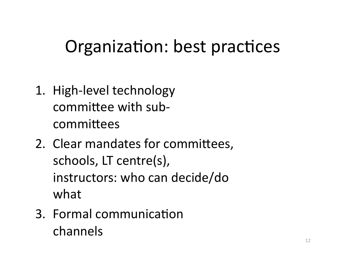# Organization: best practices

- 1. High‐level technology committee with subcommittees
- 2. Clear mandates for committees, schools, LT centre(s), instructors: who can decide/do what
- 3. Formal communication channels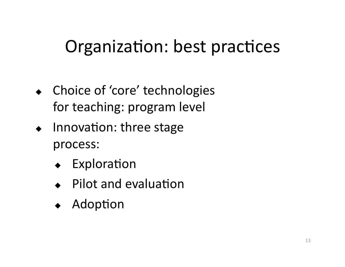# Organization: best practices

- Choice of 'core' technologies for teaching: program level
- $\bullet$  Innovation: three stage process:
	- Exploration
	- Pilot and evaluation
	- Adoption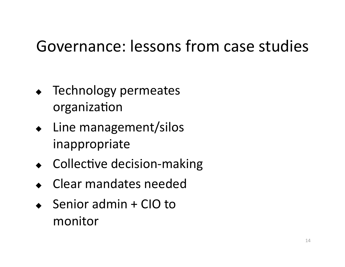### Governance: lessons from case studies

- Technology permeates organization
- Line management/silos inappropriate
- $\leftarrow$  Collective decision-making
- Clear mandates needed
- $\triangleleft$  Senior admin + CIO to monitor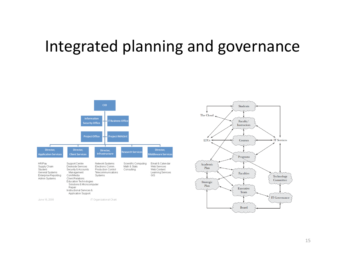### Integrated planning and governance



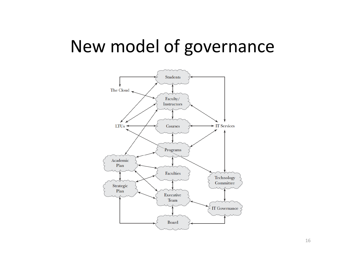### New model of governance

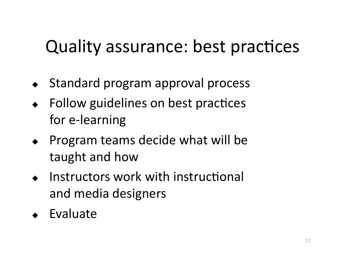# Quality assurance: best practices

- ◆ Standard program approval process
- Follow guidelines on best practices for e‐learning
- $\leftarrow$  Program teams decide what will be taught and how
- $\bullet$  Instructors work with instructional and media designers
- Evaluate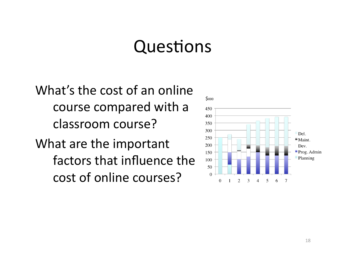#### Questions

What's the cost of an online course compared with a classroom course?

What are the important factors that influence the cost of online courses?

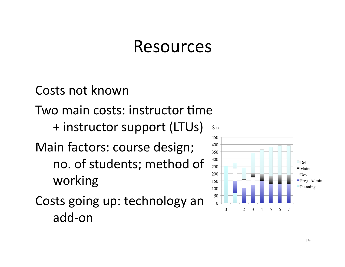#### Resources

Costs not known Two main costs: instructor time + instructor support (LTUs) Main factors: course design; no. of students; method of working

Costs going up: technology an add‐on

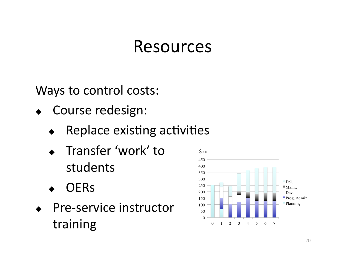### Resources

Ways to control costs:

- Course redesign:
	- Replace existing activities
	- Transfer 'work' to students
	- **OER<sub>s</sub>**
- ◆ Pre-service instructor training

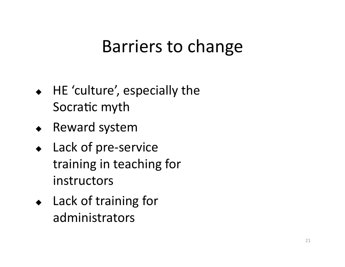## Barriers to change

- HE 'culture', especially the Socratic myth
- Reward system
- ◆ Lack of pre-service training in teaching for instructors
- ◆ Lack of training for administrators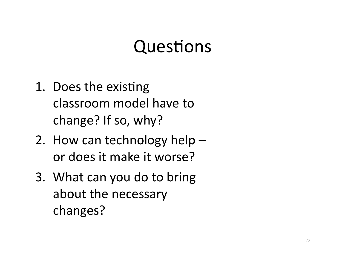## Questions

- 1. Does the existing classroom model have to change? If so, why?
- 2. How can technology help or does it make it worse?
- 3. What can you do to bring about the necessary changes?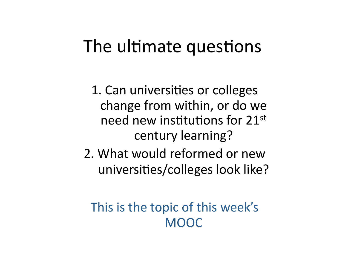### The ultimate questions

1. Can universities or colleges change from within, or do we need new institutions for 21st century learning?

2. What would reformed or new universities/colleges look like?

#### This is the topic of this week's MOOC